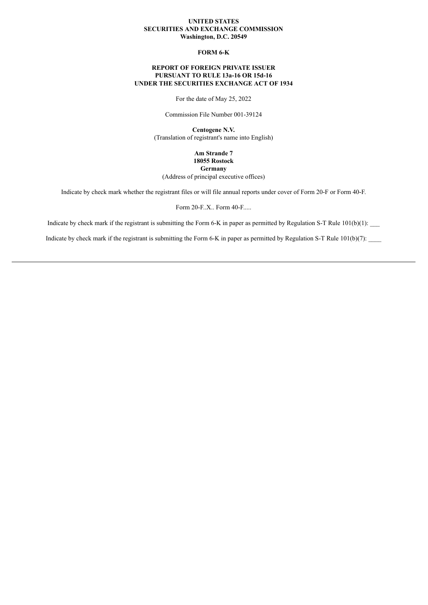### **UNITED STATES SECURITIES AND EXCHANGE COMMISSION Washington, D.C. 20549**

### **FORM 6-K**

### **REPORT OF FOREIGN PRIVATE ISSUER PURSUANT TO RULE 13a-16 OR 15d-16 UNDER THE SECURITIES EXCHANGE ACT OF 1934**

For the date of May 25, 2022

Commission File Number 001-39124

**Centogene N.V.** (Translation of registrant's name into English)

> **Am Strande 7 18055 Rostock Germany**

(Address of principal executive offices)

Indicate by check mark whether the registrant files or will file annual reports under cover of Form 20-F or Form 40-F.

Form 20-F..X.. Form 40-F.....

Indicate by check mark if the registrant is submitting the Form 6-K in paper as permitted by Regulation S-T Rule  $101(b)(1)$ :

Indicate by check mark if the registrant is submitting the Form 6-K in paper as permitted by Regulation S-T Rule 101(b)(7):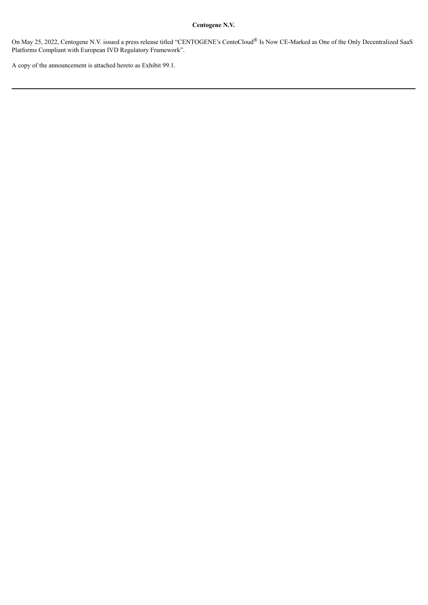### **Centogene N.V.**

On May 25, 2022, Centogene N.V. issued a press release titled "CENTOGENE's CentoCloud® Is Now CE-Marked as One of the Only Decentralized SaaS Platforms Compliant with European IVD Regulatory Framework".

A copy of the announcement is attached hereto as Exhibit 99.1.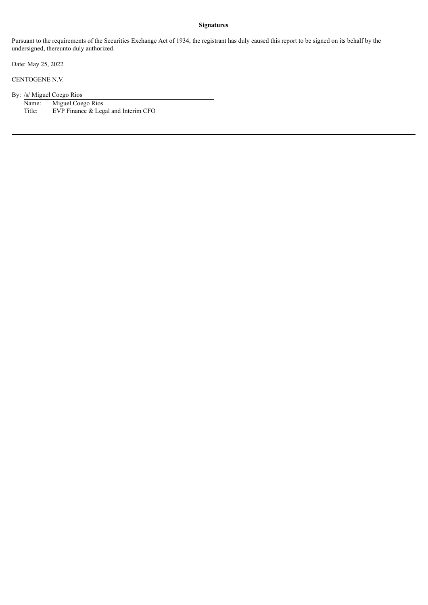## **Signatures**

Pursuant to the requirements of the Securities Exchange Act of 1934, the registrant has duly caused this report to be signed on its behalf by the undersigned, thereunto duly authorized.

Date: May 25, 2022

CENTOGENE N.V.

By: /s/ Miguel Coego Rios

Name: Miguel Coego Rios<br>Title: EVP Finance & Leg EVP Finance & Legal and Interim CFO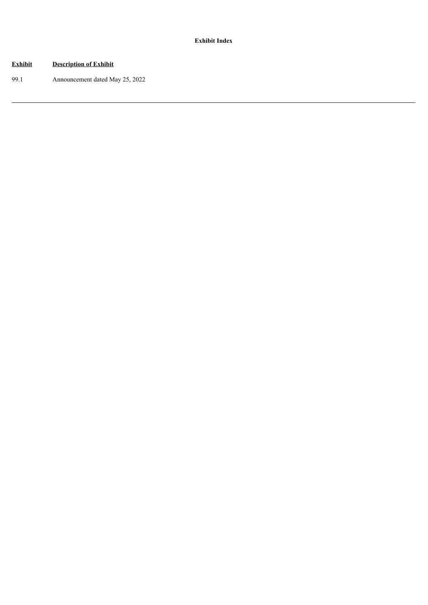# **Exhibit Index**

# **Exhibit Description of Exhibit**

99.1 Announcement dated May 25, 2022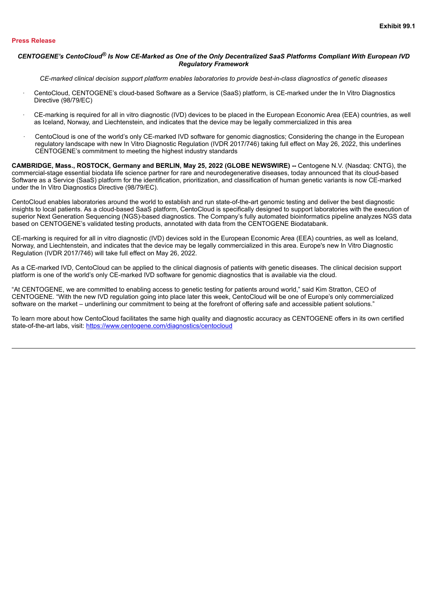#### **Press Release**

### CENTOGENE's CentoCloud® Is Now CE-Marked as One of the Only Decentralized SaaS Platforms Compliant With European IVD *Regulatory Framework*

*CE-marked clinical decision support platform enables laboratories to provide best-in-class diagnostics of genetic diseases*

- · CentoCloud, CENTOGENE's cloud-based Software as a Service (SaaS) platform, is CE-marked under the In Vitro Diagnostics Directive (98/79/EC)
- · CE-marking is required for all in vitro diagnostic (IVD) devices to be placed in the European Economic Area (EEA) countries, as well as Iceland, Norway, and Liechtenstein, and indicates that the device may be legally commercialized in this area
- CentoCloud is one of the world's only CE-marked IVD software for genomic diagnostics; Considering the change in the European regulatory landscape with new In Vitro Diagnostic Regulation (IVDR 2017/746) taking full effect on May 26, 2022, this underlines CENTOGENE's commitment to meeting the highest industry standards

**CAMBRIDGE, Mass., ROSTOCK, Germany and BERLIN, May 25, 2022 (GLOBE NEWSWIRE) --** Centogene N.V. (Nasdaq: CNTG), the commercial-stage essential biodata life science partner for rare and neurodegenerative diseases, today announced that its cloud-based Software as a Service (SaaS) platform for the identification, prioritization, and classification of human genetic variants is now CE-marked under the In Vitro Diagnostics Directive (98/79/EC).

CentoCloud enables laboratories around the world to establish and run state-of-the-art genomic testing and deliver the best diagnostic insights to local patients. As a cloud-based SaaS platform, CentoCloud is specifically designed to support laboratories with the execution of superior Next Generation Sequencing (NGS)-based diagnostics. The Company's fully automated bioinformatics pipeline analyzes NGS data based on CENTOGENE's validated testing products, annotated with data from the CENTOGENE Biodatabank.

CE-marking is required for all in vitro diagnostic (IVD) devices sold in the European Economic Area (EEA) countries, as well as Iceland, Norway, and Liechtenstein, and indicates that the device may be legally commercialized in this area. Europe's new In Vitro Diagnostic Regulation (IVDR 2017/746) will take full effect on May 26, 2022.

As a CE-marked IVD, CentoCloud can be applied to the clinical diagnosis of patients with genetic diseases. The clinical decision support platform is one of the world's only CE-marked IVD software for genomic diagnostics that is available via the cloud.

"At CENTOGENE, we are committed to enabling access to genetic testing for patients around world," said Kim Stratton, CEO of CENTOGENE. "With the new IVD regulation going into place later this week, CentoCloud will be one of Europe's only commercialized software on the market – underlining our commitment to being at the forefront of offering safe and accessible patient solutions."

To learn more about how CentoCloud facilitates the same high quality and diagnostic accuracy as CENTOGENE offers in its own certified state-of-the-art labs, visit: https://www.centogene.com/diagnostics/centocloud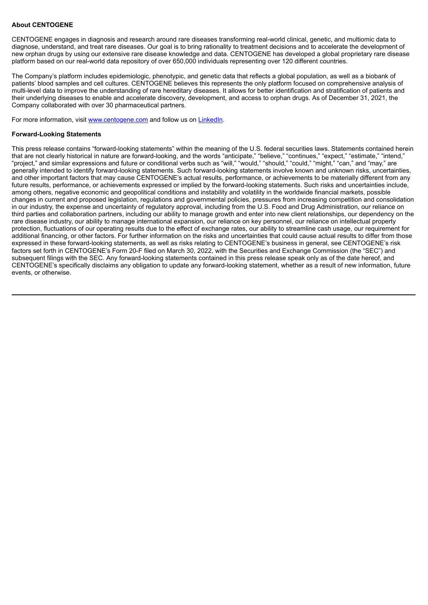## **About CENTOGENE**

CENTOGENE engages in diagnosis and research around rare diseases transforming real-world clinical, genetic, and multiomic data to diagnose, understand, and treat rare diseases. Our goal is to bring rationality to treatment decisions and to accelerate the development of new orphan drugs by using our extensive rare disease knowledge and data. CENTOGENE has developed a global proprietary rare disease platform based on our real-world data repository of over 650,000 individuals representing over 120 different countries.

The Company's platform includes epidemiologic, phenotypic, and genetic data that reflects a global population, as well as a biobank of patients' blood samples and cell cultures. CENTOGENE believes this represents the only platform focused on comprehensive analysis of multi-level data to improve the understanding of rare hereditary diseases. It allows for better identification and stratification of patients and their underlying diseases to enable and accelerate discovery, development, and access to orphan drugs. As of December 31, 2021, the Company collaborated with over 30 pharmaceutical partners.

For more information, visit www.centogene.com and follow us on LinkedIn.

### **Forward-Looking Statements**

This press release contains "forward-looking statements" within the meaning of the U.S. federal securities laws. Statements contained herein that are not clearly historical in nature are forward-looking, and the words "anticipate," "believe," "continues," "expect," "estimate," "intend," "project," and similar expressions and future or conditional verbs such as "will," "would," "should," "could," "might," "can," and "may," are generally intended to identify forward-looking statements. Such forward-looking statements involve known and unknown risks, uncertainties, and other important factors that may cause CENTOGENE's actual results, performance, or achievements to be materially different from any future results, performance, or achievements expressed or implied by the forward-looking statements. Such risks and uncertainties include, among others, negative economic and geopolitical conditions and instability and volatility in the worldwide financial markets, possible changes in current and proposed legislation, regulations and governmental policies, pressures from increasing competition and consolidation in our industry, the expense and uncertainty of regulatory approval, including from the U.S. Food and Drug Administration, our reliance on third parties and collaboration partners, including our ability to manage growth and enter into new client relationships, our dependency on the rare disease industry, our ability to manage international expansion, our reliance on key personnel, our reliance on intellectual property protection, fluctuations of our operating results due to the effect of exchange rates, our ability to streamline cash usage, our requirement for additional financing, or other factors. For further information on the risks and uncertainties that could cause actual results to differ from those expressed in these forward-looking statements, as well as risks relating to CENTOGENE's business in general, see CENTOGENE's risk factors set forth in CENTOGENE's Form 20-F filed on March 30, 2022, with the Securities and Exchange Commission (the "SEC") and subsequent filings with the SEC. Any forward-looking statements contained in this press release speak only as of the date hereof, and CENTOGENE's specifically disclaims any obligation to update any forward-looking statement, whether as a result of new information, future events, or otherwise.